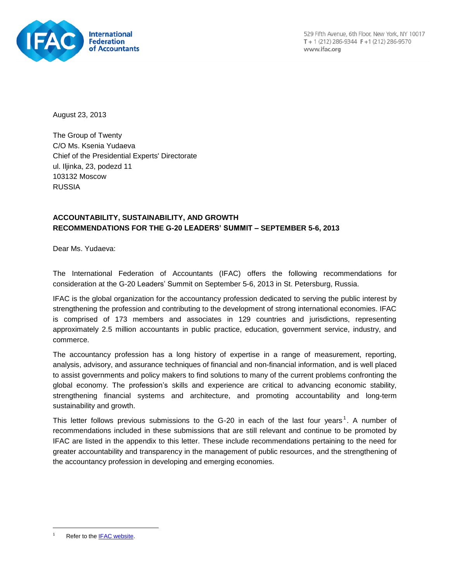

August 23, 2013

The Group of Twenty C/O Ms. Ksenia Yudaeva Chief of the Presidential Experts' Directorate ul. Iljinka, 23, podezd 11 103132 Moscow RUSSIA

# **ACCOUNTABILITY, SUSTAINABILITY, AND GROWTH RECOMMENDATIONS FOR THE G-20 LEADERS' SUMMIT – SEPTEMBER 5-6, 2013**

Dear Ms. Yudaeva:

The International Federation of Accountants (IFAC) offers the following recommendations for consideration at the G-20 Leaders' Summit on September 5-6, 2013 in St. Petersburg, Russia.

IFAC is the global organization for the accountancy profession dedicated to serving the public interest by strengthening the profession and contributing to the development of strong international economies. IFAC is comprised of 173 members and associates in 129 countries and jurisdictions, representing approximately 2.5 million accountants in public practice, education, government service, industry, and commerce.

The accountancy profession has a long history of expertise in a range of measurement, reporting, analysis, advisory, and assurance techniques of financial and non-financial information, and is well placed to assist governments and policy makers to find solutions to many of the current problems confronting the global economy. The profession's skills and experience are critical to advancing economic stability, strengthening financial systems and architecture, and promoting accountability and long-term sustainability and growth.

This letter follows previous submissions to the G-20 in each of the last four years<sup>1</sup>. A number of recommendations included in these submissions that are still relevant and continue to be promoted by IFAC are listed in the appendix to this letter. These include recommendations pertaining to the need for greater accountability and transparency in the management of public resources, and the strengthening of the accountancy profession in developing and emerging economies.

l

Refer to the **IFAC website**.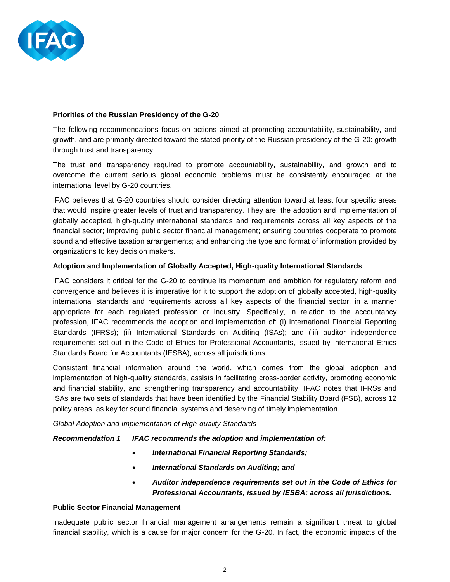

## **Priorities of the Russian Presidency of the G-20**

The following recommendations focus on actions aimed at promoting accountability, sustainability, and growth, and are primarily directed toward the stated priority of the Russian presidency of the G-20: growth through trust and transparency.

The trust and transparency required to promote accountability, sustainability, and growth and to overcome the current serious global economic problems must be consistently encouraged at the international level by G-20 countries.

IFAC believes that G-20 countries should consider directing attention toward at least four specific areas that would inspire greater levels of trust and transparency. They are: the adoption and implementation of globally accepted, high-quality international standards and requirements across all key aspects of the financial sector; improving public sector financial management; ensuring countries cooperate to promote sound and effective taxation arrangements; and enhancing the type and format of information provided by organizations to key decision makers.

## **Adoption and Implementation of Globally Accepted, High-quality International Standards**

IFAC considers it critical for the G-20 to continue its momentum and ambition for regulatory reform and convergence and believes it is imperative for it to support the adoption of globally accepted, high-quality international standards and requirements across all key aspects of the financial sector, in a manner appropriate for each regulated profession or industry. Specifically, in relation to the accountancy profession, IFAC recommends the adoption and implementation of: (i) International Financial Reporting Standards (IFRSs); (ii) International Standards on Auditing (ISAs); and (iii) auditor independence requirements set out in the Code of Ethics for Professional Accountants, issued by International Ethics Standards Board for Accountants (IESBA); across all jurisdictions.

Consistent financial information around the world, which comes from the global adoption and implementation of high-quality standards, assists in facilitating cross‐border activity, promoting economic and financial stability, and strengthening transparency and accountability. IFAC notes that IFRSs and ISAs are two sets of standards that have been identified by the Financial Stability Board (FSB), across 12 policy areas, as key for sound financial systems and deserving of timely implementation.

*Global Adoption and Implementation of High-quality Standards*

## *Recommendation 1 IFAC recommends the adoption and implementation of:*

- *International Financial Reporting Standards;*
- *International Standards on Auditing; and*
- *Auditor independence requirements set out in the Code of Ethics for Professional Accountants, issued by IESBA; across all jurisdictions.*

### **Public Sector Financial Management**

Inadequate public sector financial management arrangements remain a significant threat to global financial stability, which is a cause for major concern for the G-20. In fact, the economic impacts of the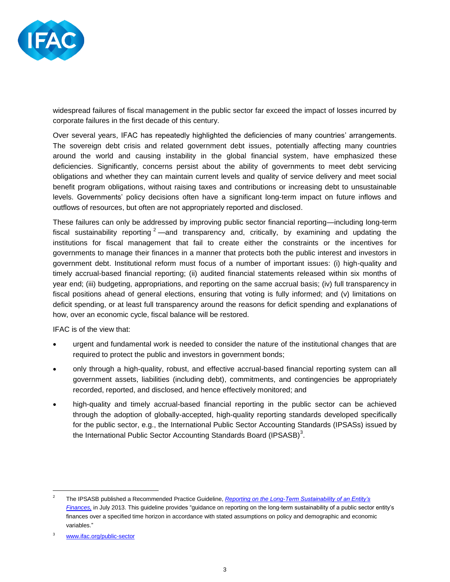

widespread failures of fiscal management in the public sector far exceed the impact of losses incurred by corporate failures in the first decade of this century.

Over several years, IFAC has repeatedly highlighted the deficiencies of many countries' arrangements. The sovereign debt crisis and related government debt issues, potentially affecting many countries around the world and causing instability in the global financial system, have emphasized these deficiencies. Significantly, concerns persist about the ability of governments to meet debt servicing obligations and whether they can maintain current levels and quality of service delivery and meet social benefit program obligations, without raising taxes and contributions or increasing debt to unsustainable levels. Governments' policy decisions often have a significant long-term impact on future inflows and outflows of resources, but often are not appropriately reported and disclosed.

These failures can only be addressed by improving public sector financial reporting—including long-term fiscal sustainability reporting  $2$  —and transparency and, critically, by examining and updating the institutions for fiscal management that fail to create either the constraints or the incentives for governments to manage their finances in a manner that protects both the public interest and investors in government debt. Institutional reform must focus of a number of important issues: (i) high-quality and timely accrual-based financial reporting; (ii) audited financial statements released within six months of year end; (iii) budgeting, appropriations, and reporting on the same accrual basis; (iv) full transparency in fiscal positions ahead of general elections, ensuring that voting is fully informed; and (v) limitations on deficit spending, or at least full transparency around the reasons for deficit spending and explanations of how, over an economic cycle, fiscal balance will be restored.

IFAC is of the view that:

- urgent and fundamental work is needed to consider the nature of the institutional changes that are required to protect the public and investors in government bonds;
- only through a high-quality, robust, and effective accrual-based financial reporting system can all government assets, liabilities (including debt), commitments, and contingencies be appropriately recorded, reported, and disclosed, and hence effectively monitored; and
- high-quality and timely accrual-based financial reporting in the public sector can be achieved through the adoption of globally-accepted, high-quality reporting standards developed specifically for the public sector, e.g., the International Public Sector Accounting Standards (IPSASs) issued by the International Public Sector Accounting Standards Board (IPSASB) $3$ .

l

<sup>2</sup> The IPSASB published a Recommended Practice Guideline, *[Reporting on the Long-Term Sustainability of an Entity's](https://www.ifac.org/news-events/2013-07/ipsasb-publishes-first-recommended-practice-guideline-long-term-sustainability-p)  [Finances,](https://www.ifac.org/news-events/2013-07/ipsasb-publishes-first-recommended-practice-guideline-long-term-sustainability-p)* in July 2013. This guideline provides "guidance on reporting on the long-term sustainability of a public sector entity's finances over a specified time horizon in accordance with stated assumptions on policy and demographic and economic variables."

<sup>3</sup> [www.ifac.org/public-sector](http://www.ifac.org/public-sector)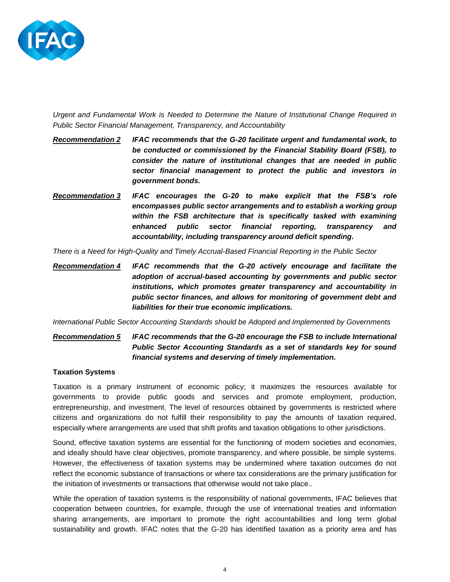

*Urgent and Fundamental Work is Needed to Determine the Nature of Institutional Change Required in Public Sector Financial Management, Transparency, and Accountability*

- *Recommendation 2 IFAC recommends that the G-20 facilitate urgent and fundamental work, to be conducted or commissioned by the Financial Stability Board (FSB), to consider the nature of institutional changes that are needed in public sector financial management to protect the public and investors in government bonds.*
- *Recommendation 3 IFAC encourages the G-20 to make explicit that the FSB's role encompasses public sector arrangements and to establish a working group within the FSB architecture that is specifically tasked with examining enhanced public sector financial reporting, transparency and accountability, including transparency around deficit spending.*

*There is a Need for High-Quality and Timely Accrual-Based Financial Reporting in the Public Sector*

*Recommendation 4 IFAC recommends that the G-20 actively encourage and facilitate the adoption of accrual-based accounting by governments and public sector institutions, which promotes greater transparency and accountability in public sector finances, and allows for monitoring of government debt and liabilities for their true economic implications.*

*International Public Sector Accounting Standards should be Adopted and Implemented by Governments*

*Recommendation 5 IFAC recommends that the G-20 encourage the FSB to include International Public Sector Accounting Standards as a set of standards key for sound financial systems and deserving of timely implementation.*

### **Taxation Systems**

Taxation is a primary instrument of economic policy; it maximizes the resources available for governments to provide public goods and services and promote employment, production, entrepreneurship, and investment. The level of resources obtained by governments is restricted where citizens and organizations do not fulfill their responsibility to pay the amounts of taxation required, especially where arrangements are used that shift profits and taxation obligations to other jurisdictions.

Sound, effective taxation systems are essential for the functioning of modern societies and economies, and ideally should have clear objectives, promote transparency, and where possible, be simple systems. However, the effectiveness of taxation systems may be undermined where taxation outcomes do not reflect the economic substance of transactions or where tax considerations are the primary justification for the initiation of investments or transactions that otherwise would not take place..

While the operation of taxation systems is the responsibility of national governments, IFAC believes that cooperation between countries, for example, through the use of international treaties and information sharing arrangements, are important to promote the right accountabilities and long term global sustainability and growth. IFAC notes that the G-20 has identified taxation as a priority area and has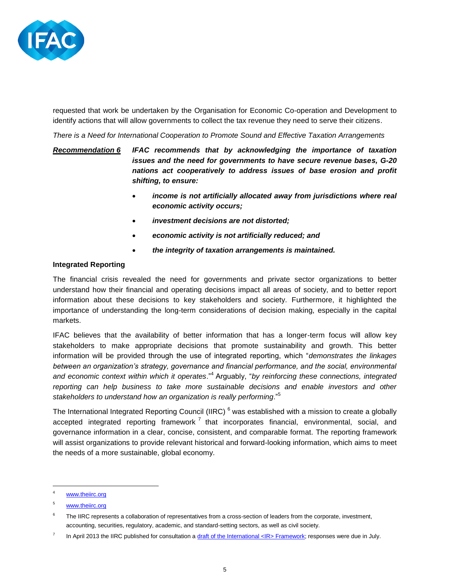

requested that work be undertaken by the Organisation for Economic Co-operation and Development to identify actions that will allow governments to collect the tax revenue they need to serve their citizens.

*There is a Need for International Cooperation to Promote Sound and Effective Taxation Arrangements*

*Recommendation 6 IFAC recommends that by acknowledging the importance of taxation issues and the need for governments to have secure revenue bases, G-20 nations act cooperatively to address issues of base erosion and profit shifting, to ensure:* 

- *income is not artificially allocated away from jurisdictions where real economic activity occurs;*
- *investment decisions are not distorted;*
- *economic activity is not artificially reduced; and*
- *the integrity of taxation arrangements is maintained.*

# **Integrated Reporting**

The financial crisis revealed the need for governments and private sector organizations to better understand how their financial and operating decisions impact all areas of society, and to better report information about these decisions to key stakeholders and society. Furthermore, it highlighted the importance of understanding the long-term considerations of decision making, especially in the capital markets.

IFAC believes that the availability of better information that has a longer-term focus will allow key stakeholders to make appropriate decisions that promote sustainability and growth. This better information will be provided through the use of integrated reporting, which "*demonstrates the linkages between an organization's strategy, governance and financial performance, and the social, environmental and economic context within which it operates*."<sup>4</sup> Arguably, "*by reinforcing these connections, integrated reporting can help business to take more sustainable decisions and enable investors and other stakeholders to understand how an organization is really performing*."<sup>5</sup>

The International Integrated Reporting Council (IIRC)<sup>6</sup> was established with a mission to create a globally accepted integrated reporting framework<sup>7</sup> that incorporates financial, environmental, social, and governance information in a clear, concise, consistent, and comparable format. The reporting framework will assist organizations to provide relevant historical and forward-looking information, which aims to meet the needs of a more sustainable, global economy.

l

[www.theiirc.org](http://www.theiirc.org/)

<sup>5</sup> [www.theiirc.org](http://www.theiirc.org/)

<sup>6</sup> The IIRC represents a collaboration of representatives from a cross-section of leaders from the corporate, investment, accounting, securities, regulatory, academic, and standard-setting sectors, as well as civil society.

<sup>7</sup> In April 2013 the IIRC published for consultation [a draft of the International <IR> Framework;](http://www.theiirc.org/consultationdraft2013/) responses were due in July.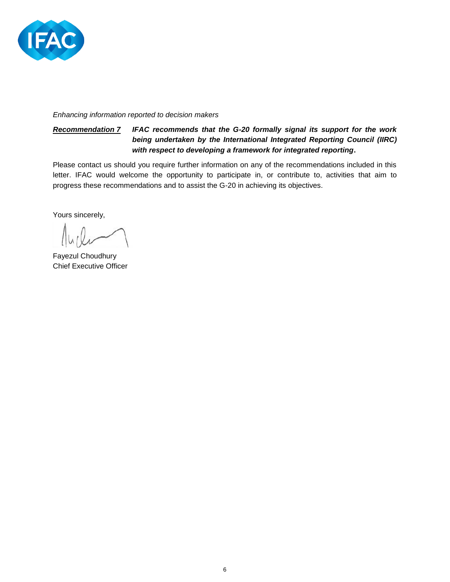

*Enhancing information reported to decision makers*

# *Recommendation 7 IFAC recommends that the G-20 formally signal its support for the work being undertaken by the International Integrated Reporting Council (IIRC) with respect to developing a framework for integrated reporting***.**

Please contact us should you require further information on any of the recommendations included in this letter. IFAC would welcome the opportunity to participate in, or contribute to, activities that aim to progress these recommendations and to assist the G-20 in achieving its objectives.

Yours sincerely,

Fayezul Choudhury Chief Executive Officer